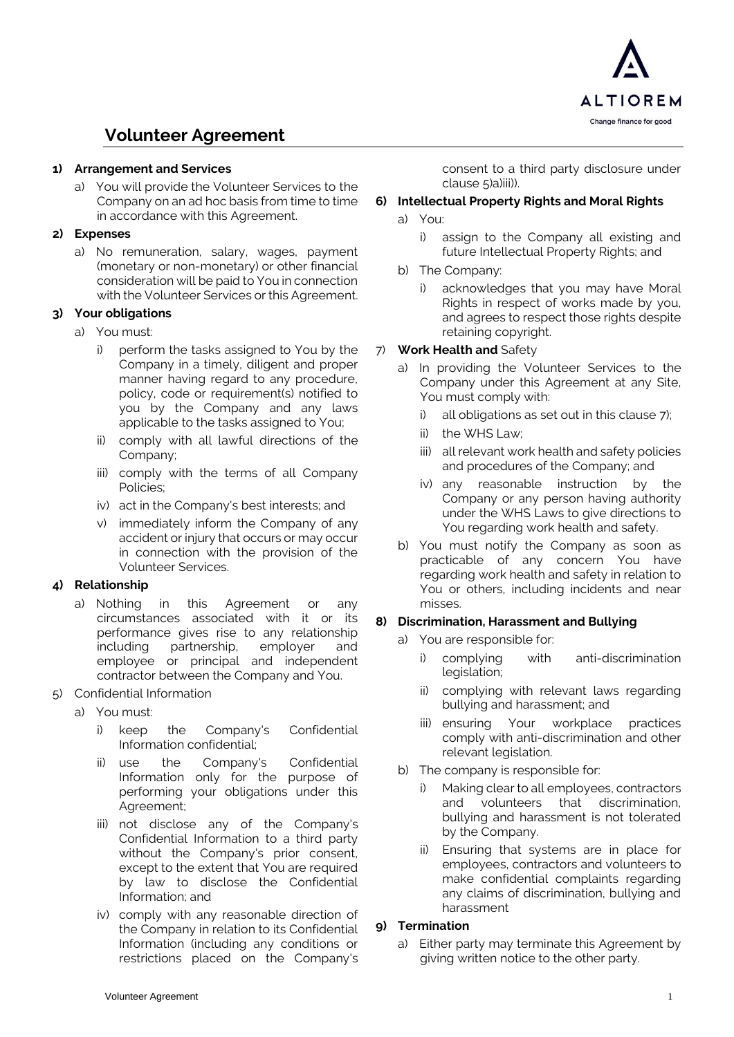

# **Volunteer Agreement**

#### **1) Arrangement and Services**

a) You will provide the Volunteer Services to the Company on an ad hoc basis from time to time in accordance with this Agreement.

### **2) Expenses**

a) No remuneration, salary, wages, payment (monetary or non-monetary) or other financial consideration will be paid to You in connection with the Volunteer Services or this Agreement.

# **3) Your obligations**

- a) You must:
	- i) perform the tasks assigned to You by the Company in a timely, diligent and proper manner having regard to any procedure, policy, code or requirement(s) notified to you by the Company and any laws applicable to the tasks assigned to You;
	- ii) comply with all lawful directions of the Company;
	- iii) comply with the terms of all Company Policies;
	- iv) act in the Company's best interests; and
	- v) immediately inform the Company of any accident or injury that occurs or may occur in connection with the provision of the Volunteer Services.

# **4) Relationship**

- a) Nothing in this Agreement or any circumstances associated with it or its performance gives rise to any relationship including partnership, employer and employee or principal and independent contractor between the Company and You.
- <span id="page-0-2"></span><span id="page-0-0"></span>5) Confidential Information
	- a) You must:
		- i) keep the Company's Confidential Information confidential;
		- ii) use the Company's Confidential Information only for the purpose of performing your obligations under this Agreement;
		- iii) not disclose any of the Company's Confidential Information to a third party without the Company's prior consent, except to the extent that You are required by law to disclose the Confidential Information; and
		- iv) comply with any reasonable direction of the Company in relation to its Confidential Information (including any conditions or restrictions placed on the Company's

consent to a third party disclosure under clause [5\)a\)iii\)\)](#page-0-0).

### <span id="page-0-3"></span>**6) Intellectual Property Rights and Moral Rights**

- a) You:
	- i) assign to the Company all existing and future Intellectual Property Rights; and
- b) The Company:
	- i) acknowledges that you may have Moral Rights in respect of works made by you, and agrees to respect those rights despite retaining copyright.

#### <span id="page-0-1"></span>7) **Work Health and** Safety

- a) In providing the Volunteer Services to the Company under this Agreement at any Site, You must comply with:
	- i) all obligations as set out in this clause [7\);](#page-0-1)
	- ii) the WHS Law;
	- iii) all relevant work health and safety policies and procedures of the Company; and
	- iv) any reasonable instruction by the Company or any person having authority under the WHS Laws to give directions to You regarding work health and safety.
- b) You must notify the Company as soon as practicable of any concern You have regarding work health and safety in relation to You or others, including incidents and near misses.

# **8) Discrimination, Harassment and Bullying**

- a) You are responsible for:
	- i) complying with anti-discrimination legislation;
	- ii) complying with relevant laws regarding bullying and harassment; and
	- iii) ensuring Your workplace practices comply with anti-discrimination and other relevant legislation.
- b) The company is responsible for:
	- Making clear to all employees, contractors<br>and volunteers that discrimination. and volunteers that discrimination, bullying and harassment is not tolerated by the Company.
	- ii) Ensuring that systems are in place for employees, contractors and volunteers to make confidential complaints regarding any claims of discrimination, bullying and harassment

#### **9) Termination**

a) Either party may terminate this Agreement by giving written notice to the other party.